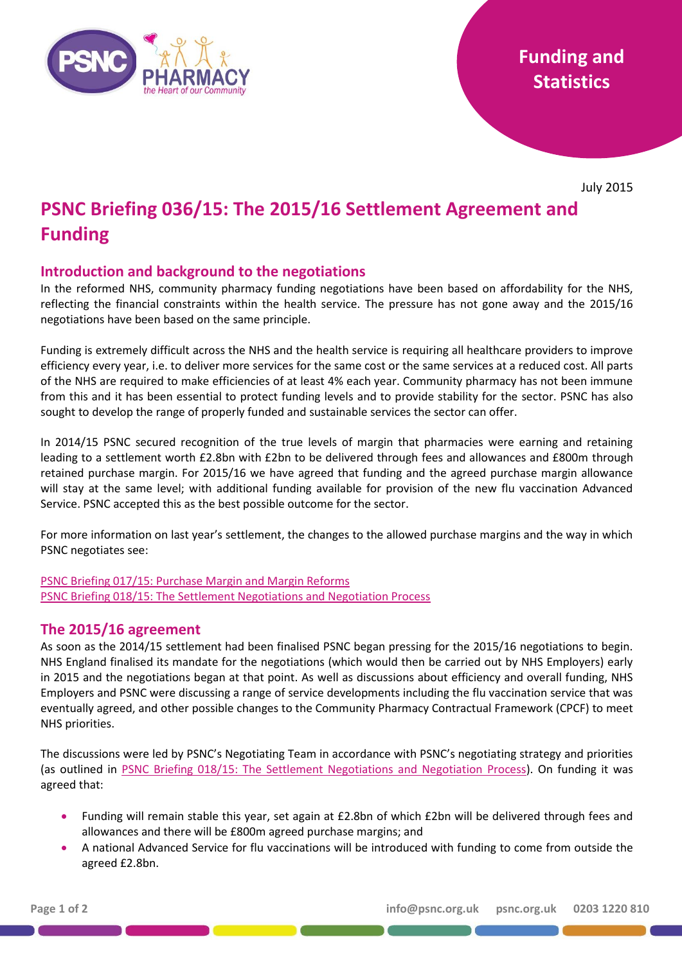

July 2015

# **PSNC Briefing 036/15: The 2015/16 Settlement Agreement and Funding**

## **Introduction and background to the negotiations**

In the reformed NHS, community pharmacy funding negotiations have been based on affordability for the NHS, reflecting the financial constraints within the health service. The pressure has not gone away and the 2015/16 negotiations have been based on the same principle.

Funding is extremely difficult across the NHS and the health service is requiring all healthcare providers to improve efficiency every year, i.e. to deliver more services for the same cost or the same services at a reduced cost. All parts of the NHS are required to make efficiencies of at least 4% each year. Community pharmacy has not been immune from this and it has been essential to protect funding levels and to provide stability for the sector. PSNC has also sought to develop the range of properly funded and sustainable services the sector can offer.

In 2014/15 PSNC secured recognition of the true levels of margin that pharmacies were earning and retaining leading to a settlement worth £2.8bn with £2bn to be delivered through fees and allowances and £800m through retained purchase margin. For 2015/16 we have agreed that funding and the agreed purchase margin allowance will stay at the same level; with additional funding available for provision of the new flu vaccination Advanced Service. PSNC accepted this as the best possible outcome for the sector.

For more information on last year's settlement, the changes to the allowed purchase margins and the way in which PSNC negotiates see:

[PSNC Briefing 017/15: Purchase Margin and Margin Reforms](http://psnc.org.uk/funding-and-statistics/psnc-briefings-funding-and-statistics/psnc-briefing-01714-purchase-margin-and-margin-reforms/) [PSNC Briefing 018/15: The Settlement Negotiations and Negotiation Process](http://psnc.org.uk/psncs-work/psnc-briefings-psncs-work/psnc-briefing-01814-the-settlement-negotiations-and-the-negotiating-process-background-information-for-contractors/)

## **The 2015/16 agreement**

As soon as the 2014/15 settlement had been finalised PSNC began pressing for the 2015/16 negotiations to begin. NHS England finalised its mandate for the negotiations (which would then be carried out by NHS Employers) early in 2015 and the negotiations began at that point. As well as discussions about efficiency and overall funding, NHS Employers and PSNC were discussing a range of service developments including the flu vaccination service that was eventually agreed, and other possible changes to the Community Pharmacy Contractual Framework (CPCF) to meet NHS priorities.

The discussions were led by PSNC's Negotiating Team in accordance with PSNC's negotiating strategy and priorities (as outlined in [PSNC Briefing 018/15: The Settlement Negotiations and Negotiation Process\)](http://psnc.org.uk/psncs-work/psnc-briefings-psncs-work/psnc-briefing-01814-the-settlement-negotiations-and-the-negotiating-process-background-information-for-contractors/). On funding it was agreed that:

- Funding will remain stable this year, set again at £2.8bn of which £2bn will be delivered through fees and allowances and there will be £800m agreed purchase margins; and
- A national Advanced Service for flu vaccinations will be introduced with funding to come from outside the agreed £2.8bn.